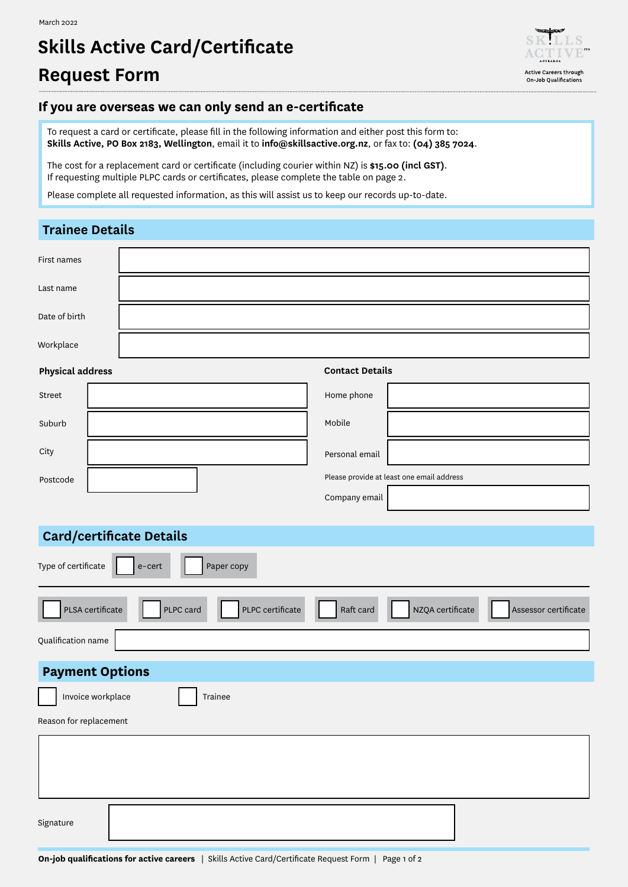# **Skills Active Card/Certificate Request Form**



#### **If you are overseas we can only send an e-certificate**

To request a card or certificate, please fill in the following information and either post this form to: **Skills Active, PO Box 2183, Wellington**, email it to **info@skillsactive.org.nz**, or fax to: **(04) 385 7024**.

The cost for a replacement card or certificate (including courier within NZ) is **\$15.00 (incl GST)**. If requesting multiple PLPC cards or certificates, please complete the table on page 2.

Please complete all requested information, as this will assist us to keep our records up-to-date.

### **Trainee Details**

| First names                                       |                                                                                        |  |  |  |  |  |  |
|---------------------------------------------------|----------------------------------------------------------------------------------------|--|--|--|--|--|--|
| Last name                                         |                                                                                        |  |  |  |  |  |  |
| Date of birth                                     |                                                                                        |  |  |  |  |  |  |
| Workplace                                         |                                                                                        |  |  |  |  |  |  |
| <b>Physical address</b><br><b>Contact Details</b> |                                                                                        |  |  |  |  |  |  |
| Street                                            | Home phone                                                                             |  |  |  |  |  |  |
| Suburb                                            | Mobile                                                                                 |  |  |  |  |  |  |
| City                                              | Personal email                                                                         |  |  |  |  |  |  |
| Postcode                                          | Please provide at least one email address                                              |  |  |  |  |  |  |
|                                                   | Company email                                                                          |  |  |  |  |  |  |
|                                                   |                                                                                        |  |  |  |  |  |  |
| <b>Card/certificate Details</b>                   |                                                                                        |  |  |  |  |  |  |
| Type of certificate<br>Paper copy<br>e-cert       |                                                                                        |  |  |  |  |  |  |
| PLSA certificate                                  | PLPC card<br>PLPC certificate<br>Raft card<br>NZQA certificate<br>Assessor certificate |  |  |  |  |  |  |
| Qualification name                                |                                                                                        |  |  |  |  |  |  |
| <b>Payment Options</b>                            |                                                                                        |  |  |  |  |  |  |
| Invoice workplace<br>Trainee                      |                                                                                        |  |  |  |  |  |  |
| Reason for replacement                            |                                                                                        |  |  |  |  |  |  |
|                                                   |                                                                                        |  |  |  |  |  |  |
| Signature                                         |                                                                                        |  |  |  |  |  |  |